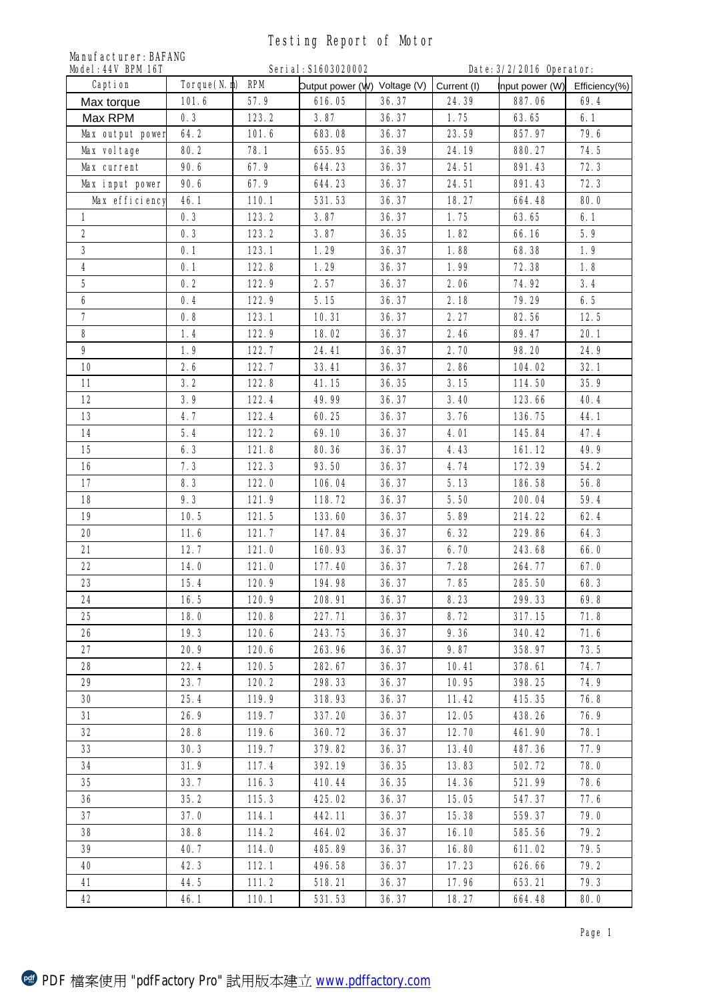## Testing Report of Motor

| <b>Manufacturer: BAFANG</b><br>Model: 44V BPM 16T<br>Serial: \$1603020002<br>Date: 3/2/2016 Operator: |                 |                |                              |                |                |                  |               |  |  |  |
|-------------------------------------------------------------------------------------------------------|-----------------|----------------|------------------------------|----------------|----------------|------------------|---------------|--|--|--|
| Caption                                                                                               | Torque(N.m) RPM |                | Dutput power (W) Voltage (V) |                | Current (I)    | Input power (W)  | Efficiency(%) |  |  |  |
| Max torque                                                                                            | 101.6           | 57.9           | 616.05                       | 36.37          | 24.39          | 887.06           | 69.4          |  |  |  |
| Max RPM                                                                                               | 0.3             | 123.2          | 3.87                         | 36.37          | 1.75           | 63.65            | 6.1           |  |  |  |
| Max output power                                                                                      | 64.2            | 101.6          | 683.08                       | 36.37          | 23.59          | 857.97           | 79.6          |  |  |  |
| <b>Max voltage</b>                                                                                    | 80.2            | 78.1           | 655.95                       | 36.39          | 24.19          | 880.27           | 74.5          |  |  |  |
| <b>Max current</b>                                                                                    | 90.6            | 67.9           | 644.23                       | 36.37          | 24.51          | 891.43           | 72.3          |  |  |  |
| <b>Max input power</b>                                                                                | 90.6            | 67.9           | 644.23                       | 36.37          | 24.51          | 891.43           | 72.3          |  |  |  |
| Max efficiency                                                                                        | 46.1            | 110.1          | 531.53                       | 36.37          | 18.27          | 664.48           | 80.0          |  |  |  |
| $\mathbf{1}$                                                                                          | 0.3             | 123.2          | 3.87                         | 36.37          | 1.75           | 63.65            | 6.1           |  |  |  |
| $\mathbf{2}$                                                                                          | 0.3             | 123.2          | 3.87                         | 36.35          | 1.82           | 66.16            | 5.9           |  |  |  |
| 3                                                                                                     | 0.1             | 123.1          | 1.29                         | 36.37          | 1.88           | 68.38            | 1.9           |  |  |  |
| 4                                                                                                     | 0.1             | 122.8          | 1.29                         | 36.37          | 1.99           | 72.38            | 1.8           |  |  |  |
| 5                                                                                                     | 0.2             | 122.9          | 2.57                         | 36.37          | 2.06           | 74.92            | 3.4           |  |  |  |
| 6                                                                                                     | 0.4             | 122.9          | 5.15                         | 36.37          | 2.18           | 79.29            | 6.5           |  |  |  |
| $\overline{ }$                                                                                        | 0.8             | 123.1          | 10.31                        | 36.37          | 2.27           | 82.56            | 12.5          |  |  |  |
| 8                                                                                                     | 1.4             | 122.9          | 18.02                        | 36.37          | 2.46           | 89.47            | 20.1          |  |  |  |
| 9                                                                                                     | 1.9             | 122.7          | 24.41                        | 36.37          | 2.70           | 98.20            | 24.9          |  |  |  |
| 10                                                                                                    | 2.6             | 122.7          | 33.41                        | 36.37          | 2.86           | 104.02           | 32.1          |  |  |  |
| 11                                                                                                    | 3.2             | 122.8          | 41.15                        | 36.35          | 3.15           | 114.50           | 35.9          |  |  |  |
| 12                                                                                                    | 3.9             | 122.4          | 49.99                        | 36.37          | 3.40           | 123.66           | 40.4          |  |  |  |
| 13                                                                                                    | 4.7             | 122.4          | 60.25                        | 36.37          | 3.76           | 136.75           | 44.1          |  |  |  |
| 14                                                                                                    | 5.4             | 122.2          | 69.10                        | 36.37          | 4.01           | 145.84           | 47.4          |  |  |  |
| 15                                                                                                    | 6.3             | 121.8          | 80.36                        | 36.37          | 4.43           | 161.12           | 49.9          |  |  |  |
| 16                                                                                                    | 7.3             | 122.3          | 93.50                        | 36.37          | 4.74           | 172.39           | 54.2          |  |  |  |
| 17                                                                                                    | 8.3             | 122.0          | 106.04                       | 36.37          | 5.13           | 186.58           | 56.8          |  |  |  |
| 18                                                                                                    | 9.3             | 121.9          | 118.72                       | 36.37          | 5.50           | 200.04           | 59.4          |  |  |  |
| 19                                                                                                    | 10.5            | 121.5          | 133.60                       | 36.37          | 5.89           | 214.22           | 62.4          |  |  |  |
| 20                                                                                                    | 11.6            | 121.7          | 147.84                       | 36.37          | 6.32           | 229.86           | 64.3          |  |  |  |
| 21                                                                                                    | 12.7            | 121.0          | 160.93                       | 36.37          | 6.70           | 243.68           | 66.0          |  |  |  |
| 22                                                                                                    | 14.0            | 121.0          | 177.40                       | 36.37          | 7.28           | 264.77           | 67.0          |  |  |  |
| 23                                                                                                    | 15.4            | 120.9          | 194.98                       | 36.37          | 7.85           | 285.50           | 68.3          |  |  |  |
| 24                                                                                                    | 16.5            | 120.9          | 208.91                       | 36.37          | 8.23           | 299.33           | 69.8          |  |  |  |
| 25                                                                                                    | 18.0            | 120.8          | 227.71                       | 36.37          | 8.72           | 317.15           | 71.8          |  |  |  |
| 26                                                                                                    | 19.3            | 120.6          | 243.75                       | 36.37          | 9.36           | 340.42           | 71.6          |  |  |  |
| 27                                                                                                    | 20.9            | 120.6          | 263.96                       | 36.37          | 9.87           | 358.97           | 73.5          |  |  |  |
| 28                                                                                                    | 22.4            | 120.5          | 282.67                       | 36.37          | 10.41          | 378.61           | 74.7          |  |  |  |
| 29                                                                                                    | 23.7            | 120.2          | 298.33                       | 36.37          | 10.95          | 398.25           | 74.9          |  |  |  |
|                                                                                                       |                 |                | 318.93                       |                |                |                  |               |  |  |  |
| 30<br>31                                                                                              | 25.4<br>26.9    | 119.9<br>119.7 | 337.20                       | 36.37<br>36.37 | 11.42<br>12.05 | 415.35<br>438.26 | 76.8<br>76.9  |  |  |  |
| 32                                                                                                    | 28.8            | 119.6          | 360.72                       | 36.37          | 12.70          | 461.90           | 78.1          |  |  |  |
|                                                                                                       |                 |                |                              |                |                |                  |               |  |  |  |
| 33<br>34                                                                                              | 30.3            | 119.7          | 379.82                       | 36.37          | 13.40          | 487.36           | 77.9          |  |  |  |
| 35                                                                                                    | 31.9            | 117.4          | 392.19                       | 36.35          | 13.83          | 502.72           | 78.0          |  |  |  |
|                                                                                                       | 33.7            | 116.3          | 410.44                       | 36.35          | 14.36          | 521.99           | 78.6          |  |  |  |
| 36                                                                                                    | 35.2            | 115.3          | 425.02                       | 36.37          | 15.05          | 547.37           | 77.6          |  |  |  |
| 37                                                                                                    | 37.0            | 114.1          | 442.11                       | 36.37          | 15.38          | 559.37           | 79.0          |  |  |  |
| 38                                                                                                    | 38.8            | 114.2          | 464.02                       | 36.37          | 16.10          | 585.56           | 79.2          |  |  |  |
| 39                                                                                                    | 40.7            | 114.0          | 485.89                       | 36.37          | 16.80          | 611.02           | 79.5          |  |  |  |
| 40                                                                                                    | 42.3            | 112.1          | 496.58                       | 36.37          | 17.23          | 626.66           | 79.2          |  |  |  |
| 41                                                                                                    | 44.5            | 111.2          | 518.21                       | 36.37          | 17.96          | 653.21           | 79.3          |  |  |  |
| 42                                                                                                    | 46.1            | 110.1          | 531.53                       | 36.37          | 18.27          | 664.48           | 80.0          |  |  |  |